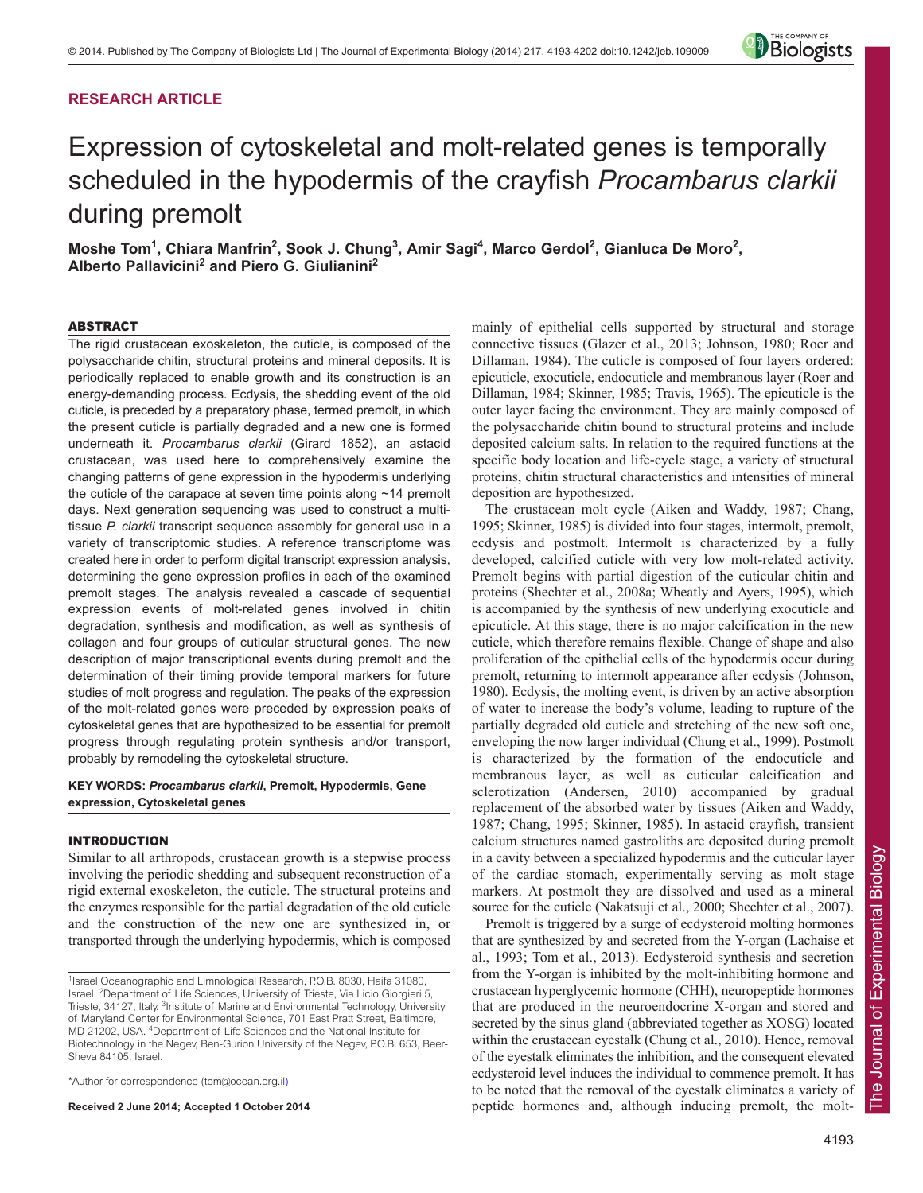# **RESEARCH ARTICLE**



# Expression of cytoskeletal and molt-related genes is temporally scheduled in the hypodermis of the crayfish *Procambarus clarkii* during premolt

Moshe Tom<sup>1</sup>, Chiara Manfrin<sup>2</sup>, Sook J. Chung<sup>3</sup>, Amir Sagi<sup>4</sup>, Marco Gerdol<sup>2</sup>, Gianluca De Moro<sup>2</sup>, **Alberto Pallavicini2 and Piero G. Giulianini2**

# ABSTRACT

The rigid crustacean exoskeleton, the cuticle, is composed of the polysaccharide chitin, structural proteins and mineral deposits. It is periodically replaced to enable growth and its construction is an energy-demanding process. Ecdysis, the shedding event of the old cuticle, is preceded by a preparatory phase, termed premolt, in which the present cuticle is partially degraded and a new one is formed underneath it. *Procambarus clarkii* (Girard 1852), an astacid crustacean, was used here to comprehensively examine the changing patterns of gene expression in the hypodermis underlying the cuticle of the carapace at seven time points along ~14 premolt days. Next generation sequencing was used to construct a multitissue *P. clarkii* transcript sequence assembly for general use in a variety of transcriptomic studies. A reference transcriptome was created here in order to perform digital transcript expression analysis, determining the gene expression profiles in each of the examined premolt stages. The analysis revealed a cascade of sequential expression events of molt-related genes involved in chitin degradation, synthesis and modification, as well as synthesis of collagen and four groups of cuticular structural genes. The new description of major transcriptional events during premolt and the determination of their timing provide temporal markers for future studies of molt progress and regulation. The peaks of the expression of the molt-related genes were preceded by expression peaks of cytoskeletal genes that are hypothesized to be essential for premolt progress through regulating protein synthesis and/or transport, probably by remodeling the cytoskeletal structure.

# **KEY WORDS:** *Procambarus clarkii***, Premolt, Hypodermis, Gene expression, Cytoskeletal genes**

# INTRODUCTION

Similar to all arthropods, crustacean growth is a stepwise process involving the periodic shedding and subsequent reconstruction of a rigid external exoskeleton, the cuticle. The structural proteins and the enzymes responsible for the partial degradation of the old cuticle and the construction of the new one are synthesized in, or transported through the underlying hypodermis, which is composed

\*Author for correspondence (tom@ocean.org.il)

**Received 2 June 2014; Accepted 1 October 2014**

mainly of epithelial cells supported by structural and storage connective tissues (Glazer et al., 2013; Johnson, 1980; Roer and Dillaman, 1984). The cuticle is composed of four layers ordered: epicuticle, exocuticle, endocuticle and membranous layer (Roer and Dillaman, 1984; Skinner, 1985; Travis, 1965). The epicuticle is the outer layer facing the environment. They are mainly composed of the polysaccharide chitin bound to structural proteins and include deposited calcium salts. In relation to the required functions at the specific body location and life-cycle stage, a variety of structural proteins, chitin structural characteristics and intensities of mineral deposition are hypothesized.

The crustacean molt cycle (Aiken and Waddy, 1987; Chang, 1995; Skinner, 1985) is divided into four stages, intermolt, premolt, ecdysis and postmolt. Intermolt is characterized by a fully developed, calcified cuticle with very low molt-related activity. Premolt begins with partial digestion of the cuticular chitin and proteins (Shechter et al., 2008a; Wheatly and Ayers, 1995), which is accompanied by the synthesis of new underlying exocuticle and epicuticle. At this stage, there is no major calcification in the new cuticle, which therefore remains flexible. Change of shape and also proliferation of the epithelial cells of the hypodermis occur during premolt, returning to intermolt appearance after ecdysis (Johnson, 1980). Ecdysis, the molting event, is driven by an active absorption of water to increase the body's volume, leading to rupture of the partially degraded old cuticle and stretching of the new soft one, enveloping the now larger individual (Chung et al., 1999). Postmolt is characterized by the formation of the endocuticle and membranous layer, as well as cuticular calcification and sclerotization (Andersen, 2010) accompanied by gradual replacement of the absorbed water by tissues (Aiken and Waddy, 1987; Chang, 1995; Skinner, 1985). In astacid crayfish, transient calcium structures named gastroliths are deposited during premolt in a cavity between a specialized hypodermis and the cuticular layer of the cardiac stomach, experimentally serving as molt stage markers. At postmolt they are dissolved and used as a mineral source for the cuticle (Nakatsuji et al., 2000; Shechter et al., 2007).

Premolt is triggered by a surge of ecdysteroid molting hormones that are synthesized by and secreted from the Y-organ (Lachaise et al., 1993; Tom et al., 2013). Ecdysteroid synthesis and secretion from the Y-organ is inhibited by the molt-inhibiting hormone and crustacean hyperglycemic hormone (CHH), neuropeptide hormones that are produced in the neuroendocrine X-organ and stored and secreted by the sinus gland (abbreviated together as XOSG) located within the crustacean eyestalk (Chung et al., 2010). Hence, removal of the eyestalk eliminates the inhibition, and the consequent elevated ecdysteroid level induces the individual to commence premolt. It has to be noted that the removal of the eyestalk eliminates a variety of peptide hormones and, although inducing premolt, the molt-

<sup>&</sup>lt;sup>1</sup>Israel Oceanographic and Limnological Research, P.O.B. 8030, Haifa 31080, Israel. 2 Department of Life Sciences, University of Trieste, Via Licio Giorgieri 5, Trieste, 34127, Italy. <sup>3</sup>Institute of Marine and Environmental Technology, University of Maryland Center for Environmental Science, 701 East Pratt Street, Baltimore, MD 21202, USA. 4 Department of Life Sciences and the National Institute for Biotechnology in the Negev, Ben-Gurion University of the Negev, P.O.B. 653, Beer-Sheva 84105, Israel.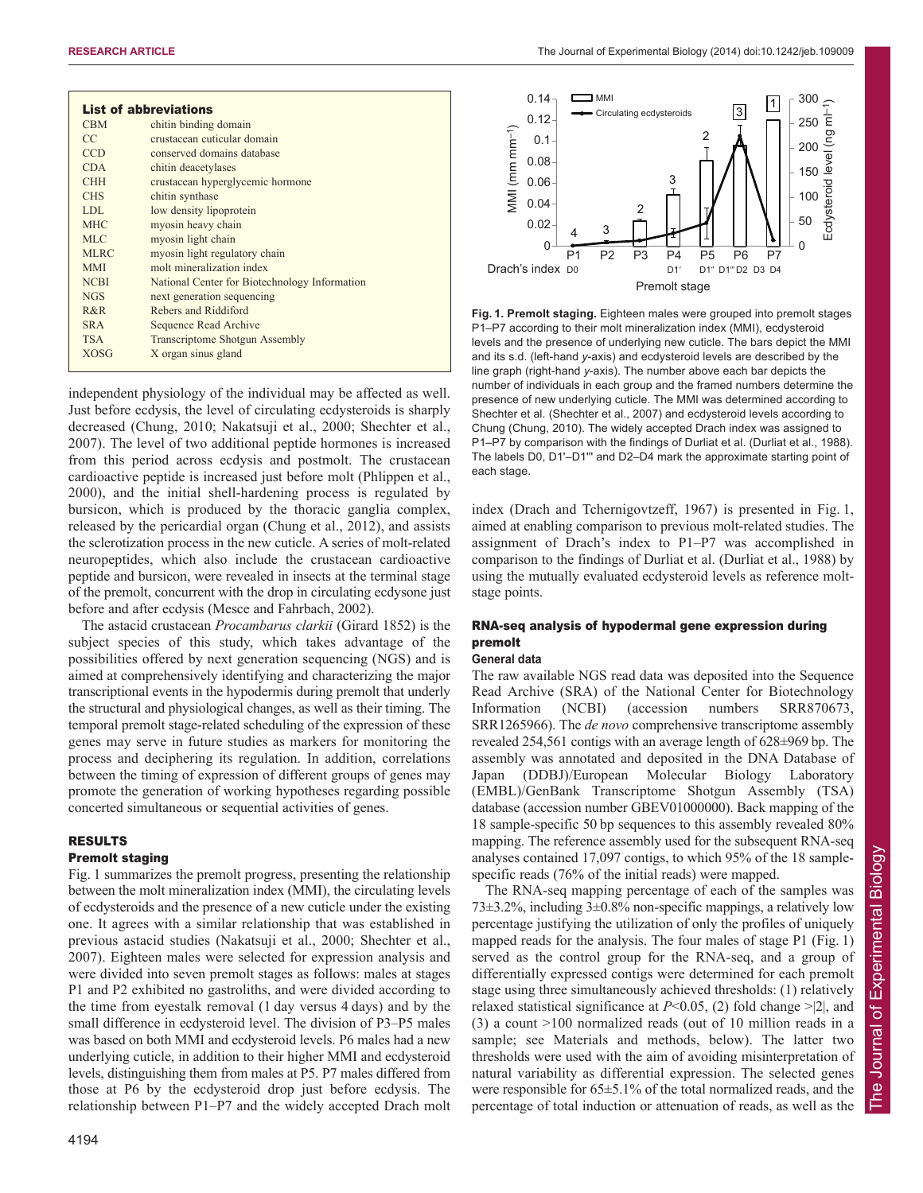| <b>List of abbreviations</b> |                                               |
|------------------------------|-----------------------------------------------|
| <b>CBM</b>                   | chitin binding domain                         |
| CC                           | crustacean cuticular domain                   |
| <b>CCD</b>                   | conserved domains database                    |
| <b>CDA</b>                   | chitin deacetylases                           |
| <b>CHH</b>                   | crustacean hyperglycemic hormone              |
| <b>CHS</b>                   | chitin synthase                               |
| LDL.                         | low density lipoprotein                       |
| <b>MHC</b>                   | myosin heavy chain                            |
| MLC.                         | myosin light chain                            |
| <b>MLRC</b>                  | myosin light regulatory chain                 |
| <b>MMI</b>                   | molt mineralization index                     |
| <b>NCBI</b>                  | National Center for Biotechnology Information |
| <b>NGS</b>                   | next generation sequencing                    |
| R&R                          | Rebers and Riddiford                          |
| <b>SRA</b>                   | <b>Sequence Read Archive</b>                  |
| <b>TSA</b>                   | <b>Transcriptome Shotgun Assembly</b>         |
| <b>XOSG</b>                  | X organ sinus gland                           |
|                              |                                               |

independent physiology of the individual may be affected as well. Just before ecdysis, the level of circulating ecdysteroids is sharply decreased (Chung, 2010; Nakatsuji et al., 2000; Shechter et al., 2007). The level of two additional peptide hormones is increased from this period across ecdysis and postmolt. The crustacean cardioactive peptide is increased just before molt (Phlippen et al., 2000), and the initial shell-hardening process is regulated by bursicon, which is produced by the thoracic ganglia complex, released by the pericardial organ (Chung et al., 2012), and assists the sclerotization process in the new cuticle. A series of molt-related neuropeptides, which also include the crustacean cardioactive peptide and bursicon, were revealed in insects at the terminal stage of the premolt, concurrent with the drop in circulating ecdysone just before and after ecdysis (Mesce and Fahrbach, 2002).

The astacid crustacean *Procambarus clarkii* (Girard 1852) is the subject species of this study, which takes advantage of the possibilities offered by next generation sequencing (NGS) and is aimed at comprehensively identifying and characterizing the major transcriptional events in the hypodermis during premolt that underly the structural and physiological changes, as well as their timing. The temporal premolt stage-related scheduling of the expression of these genes may serve in future studies as markers for monitoring the process and deciphering its regulation. In addition, correlations between the timing of expression of different groups of genes may promote the generation of working hypotheses regarding possible concerted simultaneous or sequential activities of genes.

# RESULTS Premolt staging

Fig. 1 summarizes the premolt progress, presenting the relationship between the molt mineralization index (MMI), the circulating levels of ecdysteroids and the presence of a new cuticle under the existing one. It agrees with a similar relationship that was established in previous astacid studies (Nakatsuji et al., 2000; Shechter et al., 2007). Eighteen males were selected for expression analysis and were divided into seven premolt stages as follows: males at stages P1 and P2 exhibited no gastroliths, and were divided according to the time from eyestalk removal (1 day versus 4 days) and by the small difference in ecdysteroid level. The division of P3–P5 males was based on both MMI and ecdysteroid levels. P6 males had a new underlying cuticle, in addition to their higher MMI and ecdysteroid levels, distinguishing them from males at P5. P7 males differed from those at P6 by the ecdysteroid drop just before ecdysis. The relationship between P1–P7 and the widely accepted Drach molt



**Fig. 1. Premolt staging.** Eighteen males were grouped into premolt stages P1–P7 according to their molt mineralization index (MMI), ecdysteroid levels and the presence of underlying new cuticle. The bars depict the MMI and its s.d. (left-hand *y*-axis) and ecdysteroid levels are described by the line graph (right-hand *y*-axis). The number above each bar depicts the number of individuals in each group and the framed numbers determine the presence of new underlying cuticle. The MMI was determined according to Shechter et al. (Shechter et al., 2007) and ecdysteroid levels according to Chung (Chung, 2010). The widely accepted Drach index was assigned to P1–P7 by comparison with the findings of Durliat et al. (Durliat et al., 1988). The labels D0, D1'-D1"' and D2-D4 mark the approximate starting point of each stage.

index (Drach and Tchernigovtzeff, 1967) is presented in Fig. 1, aimed at enabling comparison to previous molt-related studies. The assignment of Drach's index to P1–P7 was accomplished in comparison to the findings of Durliat et al. (Durliat et al., 1988) by using the mutually evaluated ecdysteroid levels as reference moltstage points.

# RNA-seq analysis of hypodermal gene expression during premolt

# **General data**

The raw available NGS read data was deposited into the Sequence Read Archive (SRA) of the National Center for Biotechnology Information (NCBI) (accession numbers SRR870673, SRR1265966). The *de novo* comprehensive transcriptome assembly revealed 254,561 contigs with an average length of 628±969 bp. The assembly was annotated and deposited in the DNA Database of Japan (DDBJ)/European Molecular Biology Laboratory (EMBL)/GenBank Transcriptome Shotgun Assembly (TSA) database (accession number GBEV01000000). Back mapping of the 18 sample-specific 50 bp sequences to this assembly revealed 80% mapping. The reference assembly used for the subsequent RNA-seq analyses contained 17,097 contigs, to which 95% of the 18 samplespecific reads (76% of the initial reads) were mapped.

The RNA-seq mapping percentage of each of the samples was 73±3.2%, including 3±0.8% non-specific mappings, a relatively low percentage justifying the utilization of only the profiles of uniquely mapped reads for the analysis. The four males of stage P1 (Fig. 1) served as the control group for the RNA-seq, and a group of differentially expressed contigs were determined for each premolt stage using three simultaneously achieved thresholds: (1) relatively relaxed statistical significance at  $P<0.05$ , (2) fold change  $>$ [2], and (3) a count >100 normalized reads (out of 10 million reads in a sample; see Materials and methods, below). The latter two thresholds were used with the aim of avoiding misinterpretation of natural variability as differential expression. The selected genes were responsible for 65±5.1% of the total normalized reads, and the percentage of total induction or attenuation of reads, as well as the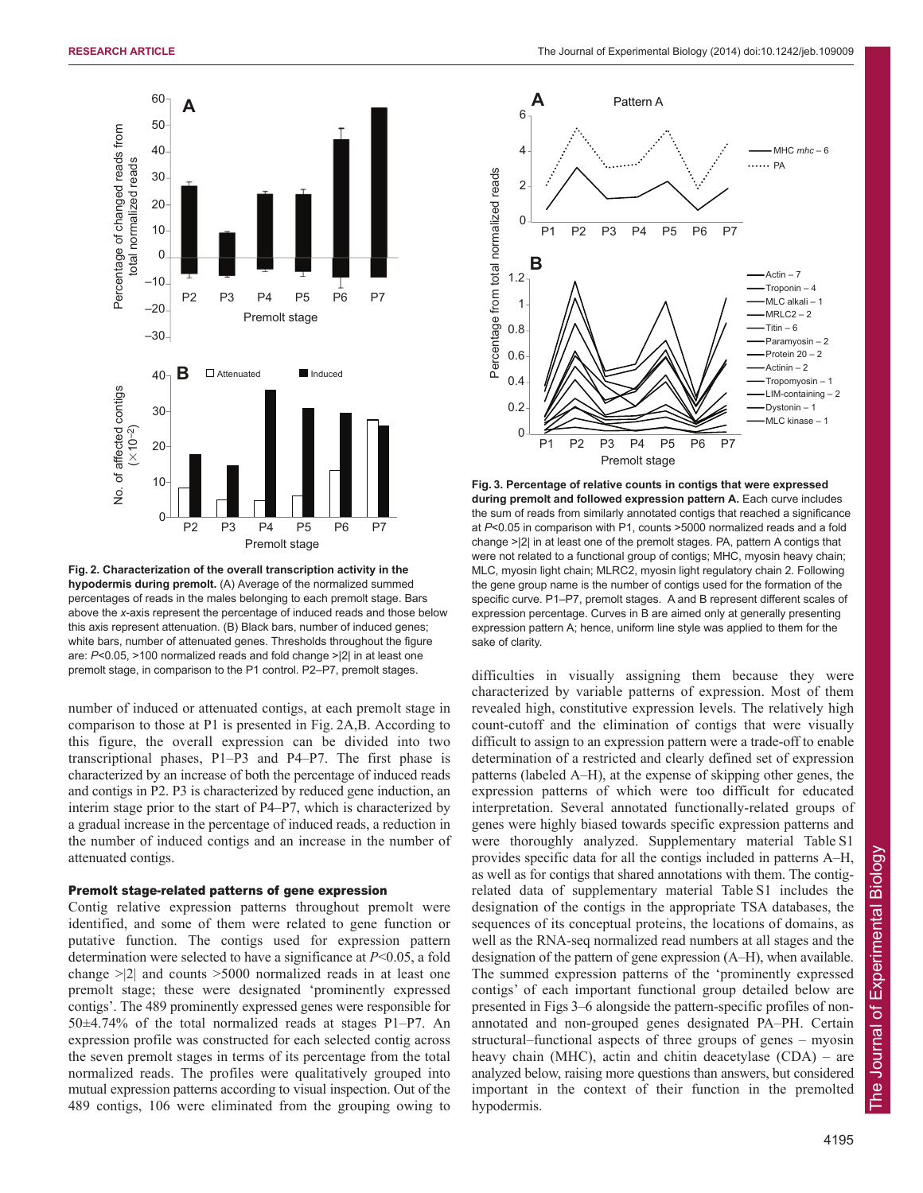

**Fig. 2. Characterization of the overall transcription activity in the hypodermis during premolt.** (A) Average of the normalized summed percentages of reads in the males belonging to each premolt stage. Bars above the *x*-axis represent the percentage of induced reads and those below this axis represent attenuation. (B) Black bars, number of induced genes; white bars, number of attenuated genes. Thresholds throughout the figure are: *P*<0.05, >100 normalized reads and fold change >|2| in at least one premolt stage, in comparison to the P1 control. P2–P7, premolt stages.

number of induced or attenuated contigs, at each premolt stage in comparison to those at P1 is presented in Fig. 2A,B. According to this figure, the overall expression can be divided into two transcriptional phases, P1–P3 and P4–P7. The first phase is characterized by an increase of both the percentage of induced reads and contigs in P2. P3 is characterized by reduced gene induction, an interim stage prior to the start of P4–P7, which is characterized by a gradual increase in the percentage of induced reads, a reduction in the number of induced contigs and an increase in the number of attenuated contigs.

# Premolt stage-related patterns of gene expression

Contig relative expression patterns throughout premolt were identified, and some of them were related to gene function or putative function. The contigs used for expression pattern determination were selected to have a significance at *P*<0.05, a fold change >|2| and counts >5000 normalized reads in at least one premolt stage; these were designated 'prominently expressed contigs'. The 489 prominently expressed genes were responsible for 50±4.74% of the total normalized reads at stages P1–P7. An expression profile was constructed for each selected contig across the seven premolt stages in terms of its percentage from the total normalized reads. The profiles were qualitatively grouped into mutual expression patterns according to visual inspection. Out of the 489 contigs, 106 were eliminated from the grouping owing to



**Fig. 3. Percentage of relative counts in contigs that were expressed during premolt and followed expression pattern A.** Each curve includes the sum of reads from similarly annotated contigs that reached a significance at *P*<0.05 in comparison with P1, counts >5000 normalized reads and a fold change >|2| in at least one of the premolt stages. PA, pattern A contigs that were not related to a functional group of contigs; MHC, myosin heavy chain; MLC, myosin light chain; MLRC2, myosin light regulatory chain 2. Following the gene group name is the number of contigs used for the formation of the specific curve. P1–P7, premolt stages. A and B represent different scales of expression percentage. Curves in B are aimed only at generally presenting expression pattern A; hence, uniform line style was applied to them for the sake of clarity.

difficulties in visually assigning them because they were characterized by variable patterns of expression. Most of them revealed high, constitutive expression levels. The relatively high count-cutoff and the elimination of contigs that were visually difficult to assign to an expression pattern were a trade-off to enable determination of a restricted and clearly defined set of expression patterns (labeled A–H), at the expense of skipping other genes, the expression patterns of which were too difficult for educated interpretation. Several annotated functionally-related groups of genes were highly biased towards specific expression patterns and were thoroughly analyzed. Supplementary material Table S1 provides specific data for all the contigs included in patterns A–H, as well as for contigs that shared annotations with them. The contigrelated data of supplementary material Table S1 includes the designation of the contigs in the appropriate TSA databases, the sequences of its conceptual proteins, the locations of domains, as well as the RNA-seq normalized read numbers at all stages and the designation of the pattern of gene expression (A–H), when available. The summed expression patterns of the 'prominently expressed contigs' of each important functional group detailed below are presented in Figs 3–6 alongside the pattern-specific profiles of nonannotated and non-grouped genes designated PA–PH. Certain structural–functional aspects of three groups of genes – myosin heavy chain (MHC), actin and chitin deacetylase (CDA) – are analyzed below, raising more questions than answers, but considered important in the context of their function in the premolted hypodermis.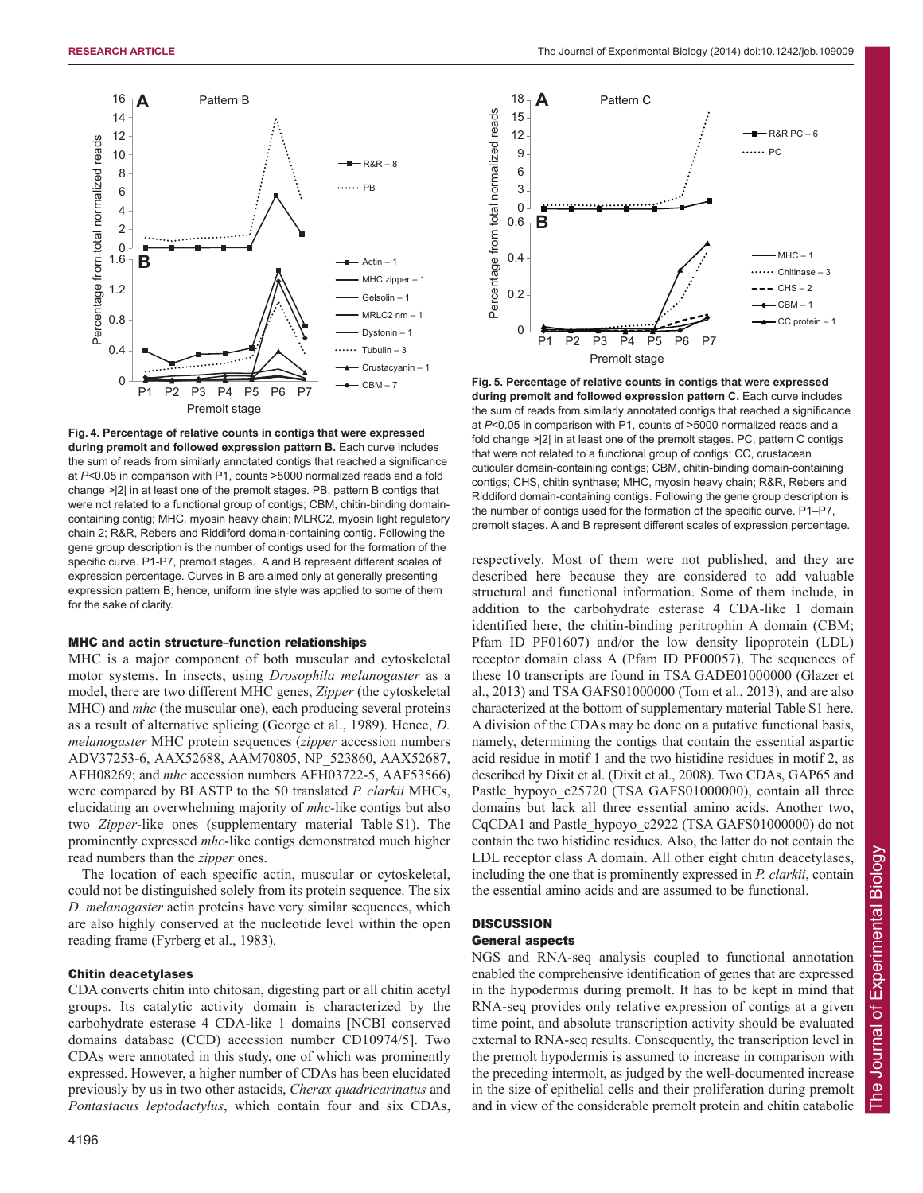

**Fig. 4. Percentage of relative counts in contigs that were expressed during premolt and followed expression pattern B.** Each curve includes the sum of reads from similarly annotated contigs that reached a significance at *P*<0.05 in comparison with P1, counts >5000 normalized reads and a fold change >|2| in at least one of the premolt stages. PB, pattern B contigs that were not related to a functional group of contigs; CBM, chitin-binding domaincontaining contig; MHC, myosin heavy chain; MLRC2, myosin light regulatory chain 2; R&R, Rebers and Riddiford domain-containing contig. Following the gene group description is the number of contigs used for the formation of the specific curve. P1-P7, premolt stages. A and B represent different scales of expression percentage. Curves in B are aimed only at generally presenting expression pattern B; hence, uniform line style was applied to some of them for the sake of clarity.

## MHC and actin structure–function relationships

MHC is a major component of both muscular and cytoskeletal motor systems. In insects, using *Drosophila melanogaster* as a model, there are two different MHC genes, *Zipper* (the cytoskeletal MHC) and *mhc* (the muscular one), each producing several proteins as a result of alternative splicing (George et al., 1989). Hence, *D. melanogaster* MHC protein sequences (*zipper* accession numbers ADV37253-6, AAX52688, AAM70805, NP\_523860, AAX52687, AFH08269; and *mhc* accession numbers AFH03722-5, AAF53566) were compared by BLASTP to the 50 translated *P. clarkii* MHCs, elucidating an overwhelming majority of *mhc-*like contigs but also two *Zipper*-like ones (supplementary material Table S1). The prominently expressed *mhc*-like contigs demonstrated much higher read numbers than the *zipper* ones.

The location of each specific actin, muscular or cytoskeletal, could not be distinguished solely from its protein sequence. The six *D. melanogaster* actin proteins have very similar sequences, which are also highly conserved at the nucleotide level within the open reading frame (Fyrberg et al., 1983).

# Chitin deacetylases

CDA converts chitin into chitosan, digesting part or all chitin acetyl groups. Its catalytic activity domain is characterized by the carbohydrate esterase 4 CDA-like 1 domains [NCBI conserved domains database (CCD) accession number CD10974/5]. Two CDAs were annotated in this study, one of which was prominently expressed. However, a higher number of CDAs has been elucidated previously by us in two other astacids, *Cherax quadricarinatus* and *Pontastacus leptodactylus*, which contain four and six CDAs,



**Fig. 5. Percentage of relative counts in contigs that were expressed during premolt and followed expression pattern C.** Each curve includes the sum of reads from similarly annotated contigs that reached a significance at *P*<0.05 in comparison with P1, counts of >5000 normalized reads and a fold change >|2| in at least one of the premolt stages. PC, pattern C contigs that were not related to a functional group of contigs; CC, crustacean cuticular domain-containing contigs; CBM, chitin-binding domain-containing contigs; CHS, chitin synthase; MHC, myosin heavy chain; R&R, Rebers and Riddiford domain-containing contigs. Following the gene group description is the number of contigs used for the formation of the specific curve. P1–P7, premolt stages. A and B represent different scales of expression percentage.

respectively. Most of them were not published, and they are described here because they are considered to add valuable structural and functional information. Some of them include, in addition to the carbohydrate esterase 4 CDA-like 1 domain identified here, the chitin-binding peritrophin A domain (CBM; Pfam ID PF01607) and/or the low density lipoprotein (LDL) receptor domain class A (Pfam ID PF00057). The sequences of these 10 transcripts are found in TSA GADE01000000 (Glazer et al., 2013) and TSA GAFS01000000 (Tom et al., 2013), and are also characterized at the bottom of supplementary material Table S1 here. A division of the CDAs may be done on a putative functional basis, namely, determining the contigs that contain the essential aspartic acid residue in motif 1 and the two histidine residues in motif 2, as described by Dixit et al. (Dixit et al., 2008). Two CDAs, GAP65 and Pastle hypoyo c25720 (TSA GAFS01000000), contain all three domains but lack all three essential amino acids. Another two, CqCDA1 and Pastle\_hypoyo\_c2922 (TSA GAFS01000000) do not contain the two histidine residues. Also, the latter do not contain the LDL receptor class A domain. All other eight chitin deacetylases, including the one that is prominently expressed in *P. clarkii*, contain the essential amino acids and are assumed to be functional.

# **DISCUSSION**

# General aspects

NGS and RNA-seq analysis coupled to functional annotation enabled the comprehensive identification of genes that are expressed in the hypodermis during premolt. It has to be kept in mind that RNA-seq provides only relative expression of contigs at a given time point, and absolute transcription activity should be evaluated external to RNA-seq results. Consequently, the transcription level in the premolt hypodermis is assumed to increase in comparison with the preceding intermolt, as judged by the well-documented increase in the size of epithelial cells and their proliferation during premolt and in view of the considerable premolt protein and chitin catabolic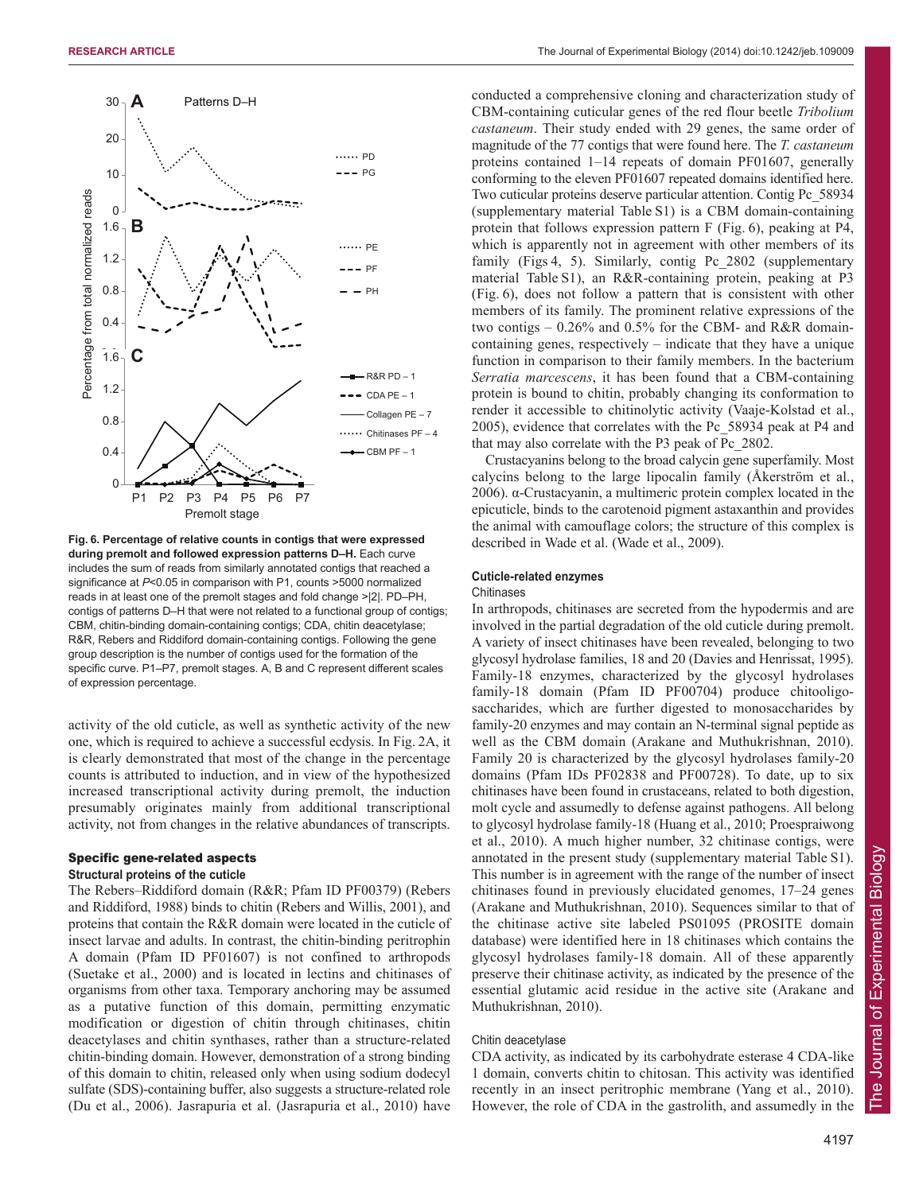

**Fig. 6. Percentage of relative counts in contigs that were expressed during premolt and followed expression patterns D–H.** Each curve includes the sum of reads from similarly annotated contigs that reached a significance at *P*<0.05 in comparison with P1, counts >5000 normalized reads in at least one of the premolt stages and fold change >|2|. PD–PH, contigs of patterns D–H that were not related to a functional group of contigs; CBM, chitin-binding domain-containing contigs; CDA, chitin deacetylase; R&R, Rebers and Riddiford domain-containing contigs. Following the gene group description is the number of contigs used for the formation of the specific curve. P1–P7, premolt stages. A, B and C represent different scales of expression percentage.

activity of the old cuticle, as well as synthetic activity of the new one, which is required to achieve a successful ecdysis. In Fig. 2A, it is clearly demonstrated that most of the change in the percentage counts is attributed to induction, and in view of the hypothesized increased transcriptional activity during premolt, the induction presumably originates mainly from additional transcriptional activity, not from changes in the relative abundances of transcripts.

# Specific gene-related aspects

# **Structural proteins of the cuticle**

The Rebers–Riddiford domain (R&R; Pfam ID PF00379) (Rebers and Riddiford, 1988) binds to chitin (Rebers and Willis, 2001), and proteins that contain the R&R domain were located in the cuticle of insect larvae and adults. In contrast, the chitin-binding peritrophin A domain (Pfam ID PF01607) is not confined to arthropods (Suetake et al., 2000) and is located in lectins and chitinases of organisms from other taxa. Temporary anchoring may be assumed as a putative function of this domain, permitting enzymatic modification or digestion of chitin through chitinases, chitin deacetylases and chitin synthases, rather than a structure-related chitin-binding domain. However, demonstration of a strong binding of this domain to chitin, released only when using sodium dodecyl sulfate (SDS)-containing buffer, also suggests a structure-related role (Du et al., 2006). Jasrapuria et al. (Jasrapuria et al., 2010) have

conducted a comprehensive cloning and characterization study of CBM-containing cuticular genes of the red flour beetle *Tribolium castaneum*. Their study ended with 29 genes, the same order of magnitude of the 77 contigs that were found here. The *T. castaneum* proteins contained 1–14 repeats of domain PF01607, generally conforming to the eleven PF01607 repeated domains identified here. Two cuticular proteins deserve particular attention. Contig Pc\_58934 (supplementary material Table S1) is a CBM domain-containing protein that follows expression pattern F (Fig. 6), peaking at P4, which is apparently not in agreement with other members of its family (Figs 4, 5). Similarly, contig Pc 2802 (supplementary material Table S1), an R&R-containing protein, peaking at P3 (Fig. 6), does not follow a pattern that is consistent with other members of its family. The prominent relative expressions of the two contigs – 0.26% and 0.5% for the CBM- and R&R domaincontaining genes, respectively – indicate that they have a unique function in comparison to their family members. In the bacterium *Serratia marcescens*, it has been found that a CBM-containing protein is bound to chitin, probably changing its conformation to render it accessible to chitinolytic activity (Vaaje-Kolstad et al., 2005), evidence that correlates with the Pc\_58934 peak at P4 and that may also correlate with the P3 peak of Pc\_2802.

Crustacyanins belong to the broad calycin gene superfamily. Most calycins belong to the large lipocalin family (Åkerström et al., 2006). α-Crustacyanin, a multimeric protein complex located in the epicuticle, binds to the carotenoid pigment astaxanthin and provides the animal with camouflage colors; the structure of this complex is described in Wade et al. (Wade et al., 2009).

# **Cuticle-related enzymes**

# **Chitinases**

In arthropods, chitinases are secreted from the hypodermis and are involved in the partial degradation of the old cuticle during premolt. A variety of insect chitinases have been revealed, belonging to two glycosyl hydrolase families, 18 and 20 (Davies and Henrissat, 1995). Family-18 enzymes, characterized by the glycosyl hydrolases family-18 domain (Pfam ID PF00704) produce chitooligosaccharides, which are further digested to monosaccharides by family-20 enzymes and may contain an N-terminal signal peptide as well as the CBM domain (Arakane and Muthukrishnan, 2010). Family 20 is characterized by the glycosyl hydrolases family-20 domains (Pfam IDs PF02838 and PF00728). To date, up to six chitinases have been found in crustaceans, related to both digestion, molt cycle and assumedly to defense against pathogens. All belong to glycosyl hydrolase family-18 (Huang et al., 2010; Proespraiwong et al., 2010). A much higher number, 32 chitinase contigs, were annotated in the present study (supplementary material Table S1). This number is in agreement with the range of the number of insect chitinases found in previously elucidated genomes, 17–24 genes (Arakane and Muthukrishnan, 2010). Sequences similar to that of the chitinase active site labeled PS01095 (PROSITE domain database) were identified here in 18 chitinases which contains the glycosyl hydrolases family-18 domain. All of these apparently preserve their chitinase activity, as indicated by the presence of the essential glutamic acid residue in the active site (Arakane and Muthukrishnan, 2010).

# Chitin deacetylase

CDA activity, as indicated by its carbohydrate esterase 4 CDA-like 1 domain, converts chitin to chitosan. This activity was identified recently in an insect peritrophic membrane (Yang et al., 2010). However, the role of CDA in the gastrolith, and assumedly in the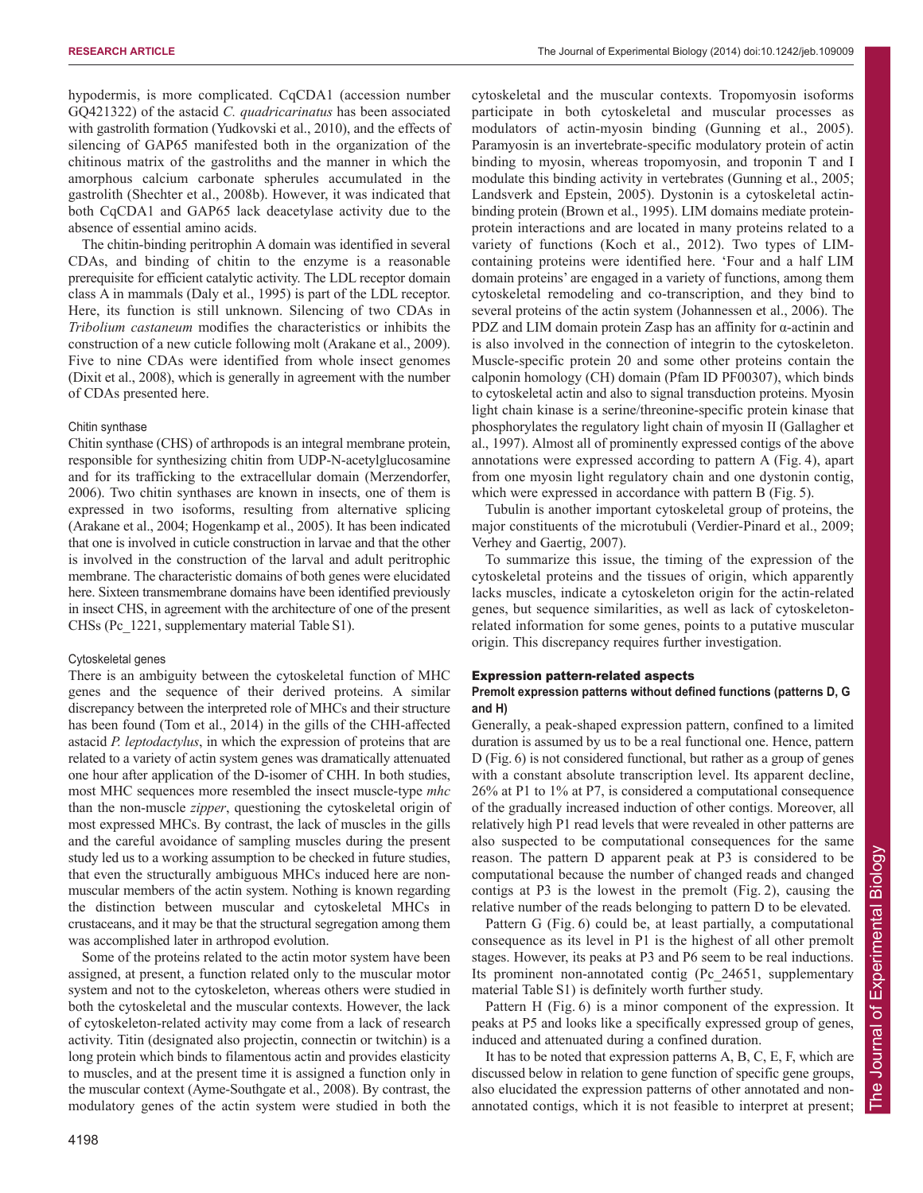hypodermis, is more complicated. CqCDA1 (accession number GQ421322) of the astacid *C. quadricarinatus* has been associated with gastrolith formation (Yudkovski et al., 2010), and the effects of silencing of GAP65 manifested both in the organization of the chitinous matrix of the gastroliths and the manner in which the amorphous calcium carbonate spherules accumulated in the gastrolith (Shechter et al., 2008b). However, it was indicated that both CqCDA1 and GAP65 lack deacetylase activity due to the absence of essential amino acids.

The chitin-binding peritrophin A domain was identified in several CDAs, and binding of chitin to the enzyme is a reasonable prerequisite for efficient catalytic activity. The LDL receptor domain class A in mammals (Daly et al., 1995) is part of the LDL receptor. Here, its function is still unknown. Silencing of two CDAs in *Tribolium castaneum* modifies the characteristics or inhibits the construction of a new cuticle following molt (Arakane et al., 2009). Five to nine CDAs were identified from whole insect genomes (Dixit et al., 2008), which is generally in agreement with the number of CDAs presented here.

# Chitin synthase

Chitin synthase (CHS) of arthropods is an integral membrane protein, responsible for synthesizing chitin from UDP-N-acetylglucosamine and for its trafficking to the extracellular domain (Merzendorfer, 2006). Two chitin synthases are known in insects, one of them is expressed in two isoforms, resulting from alternative splicing (Arakane et al., 2004; Hogenkamp et al., 2005). It has been indicated that one is involved in cuticle construction in larvae and that the other is involved in the construction of the larval and adult peritrophic membrane. The characteristic domains of both genes were elucidated here. Sixteen transmembrane domains have been identified previously in insect CHS, in agreement with the architecture of one of the present CHSs (Pc\_1221, supplementary material Table S1).

# Cytoskeletal genes

There is an ambiguity between the cytoskeletal function of MHC genes and the sequence of their derived proteins. A similar discrepancy between the interpreted role of MHCs and their structure has been found (Tom et al., 2014) in the gills of the CHH-affected astacid *P. leptodactylus*, in which the expression of proteins that are related to a variety of actin system genes was dramatically attenuated one hour after application of the D-isomer of CHH. In both studies, most MHC sequences more resembled the insect muscle-type *mhc* than the non-muscle *zipper*, questioning the cytoskeletal origin of most expressed MHCs. By contrast, the lack of muscles in the gills and the careful avoidance of sampling muscles during the present study led us to a working assumption to be checked in future studies, that even the structurally ambiguous MHCs induced here are nonmuscular members of the actin system. Nothing is known regarding the distinction between muscular and cytoskeletal MHCs in crustaceans, and it may be that the structural segregation among them was accomplished later in arthropod evolution.

Some of the proteins related to the actin motor system have been assigned, at present, a function related only to the muscular motor system and not to the cytoskeleton, whereas others were studied in both the cytoskeletal and the muscular contexts. However, the lack of cytoskeleton-related activity may come from a lack of research activity. Titin (designated also projectin, connectin or twitchin) is a long protein which binds to filamentous actin and provides elasticity to muscles, and at the present time it is assigned a function only in the muscular context (Ayme-Southgate et al., 2008). By contrast, the modulatory genes of the actin system were studied in both the cytoskeletal and the muscular contexts. Tropomyosin isoforms participate in both cytoskeletal and muscular processes as modulators of actin-myosin binding (Gunning et al., 2005). Paramyosin is an invertebrate-specific modulatory protein of actin binding to myosin, whereas tropomyosin, and troponin T and I modulate this binding activity in vertebrates (Gunning et al., 2005; Landsverk and Epstein, 2005). Dystonin is a cytoskeletal actinbinding protein (Brown et al., 1995). LIM domains mediate proteinprotein interactions and are located in many proteins related to a variety of functions (Koch et al., 2012). Two types of LIMcontaining proteins were identified here. 'Four and a half LIM domain proteins' are engaged in a variety of functions, among them cytoskeletal remodeling and co-transcription, and they bind to several proteins of the actin system (Johannessen et al., 2006). The PDZ and LIM domain protein Zasp has an affinity for α-actinin and is also involved in the connection of integrin to the cytoskeleton. Muscle-specific protein 20 and some other proteins contain the calponin homology (CH) domain (Pfam ID PF00307), which binds to cytoskeletal actin and also to signal transduction proteins. Myosin light chain kinase is a serine/threonine-specific protein kinase that phosphorylates the regulatory light chain of myosin II (Gallagher et al., 1997). Almost all of prominently expressed contigs of the above annotations were expressed according to pattern A (Fig. 4), apart from one myosin light regulatory chain and one dystonin contig, which were expressed in accordance with pattern B (Fig. 5).

Tubulin is another important cytoskeletal group of proteins, the major constituents of the microtubuli (Verdier-Pinard et al., 2009; Verhey and Gaertig, 2007).

To summarize this issue, the timing of the expression of the cytoskeletal proteins and the tissues of origin, which apparently lacks muscles, indicate a cytoskeleton origin for the actin-related genes, but sequence similarities, as well as lack of cytoskeletonrelated information for some genes, points to a putative muscular origin. This discrepancy requires further investigation.

# Expression pattern-related aspects

# **Premolt expression patterns without defined functions (patterns D, G and H)**

Generally, a peak-shaped expression pattern, confined to a limited duration is assumed by us to be a real functional one. Hence, pattern D (Fig. 6) is not considered functional, but rather as a group of genes with a constant absolute transcription level. Its apparent decline, 26% at P1 to 1% at P7, is considered a computational consequence of the gradually increased induction of other contigs. Moreover, all relatively high P1 read levels that were revealed in other patterns are also suspected to be computational consequences for the same reason. The pattern D apparent peak at P3 is considered to be computational because the number of changed reads and changed contigs at P3 is the lowest in the premolt (Fig. 2), causing the relative number of the reads belonging to pattern D to be elevated.

Pattern G (Fig. 6) could be, at least partially, a computational consequence as its level in P1 is the highest of all other premolt stages. However, its peaks at P3 and P6 seem to be real inductions. Its prominent non-annotated contig (Pc\_24651, supplementary material Table S1) is definitely worth further study.

Pattern H (Fig. 6) is a minor component of the expression. It peaks at P5 and looks like a specifically expressed group of genes, induced and attenuated during a confined duration.

It has to be noted that expression patterns A, B, C, E, F, which are discussed below in relation to gene function of specific gene groups, also elucidated the expression patterns of other annotated and nonannotated contigs, which it is not feasible to interpret at present;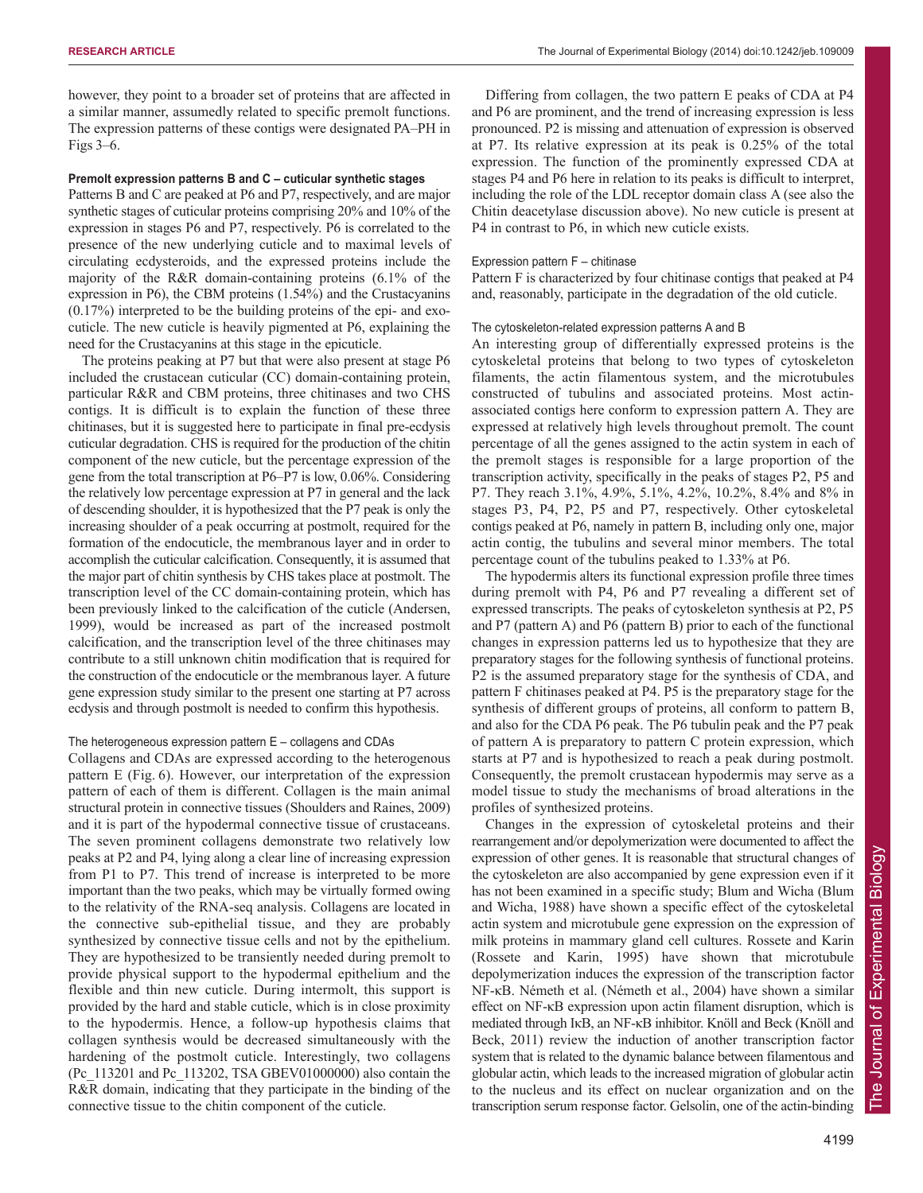however, they point to a broader set of proteins that are affected in a similar manner, assumedly related to specific premolt functions. The expression patterns of these contigs were designated PA–PH in Figs 3–6.

# **Premolt expression patterns B and C – cuticular synthetic stages**

Patterns B and C are peaked at P6 and P7, respectively, and are major synthetic stages of cuticular proteins comprising 20% and 10% of the expression in stages P6 and P7, respectively. P6 is correlated to the presence of the new underlying cuticle and to maximal levels of circulating ecdysteroids, and the expressed proteins include the majority of the R&R domain-containing proteins (6.1% of the expression in P6), the CBM proteins (1.54%) and the Crustacyanins (0.17%) interpreted to be the building proteins of the epi- and exocuticle. The new cuticle is heavily pigmented at P6, explaining the need for the Crustacyanins at this stage in the epicuticle.

The proteins peaking at P7 but that were also present at stage P6 included the crustacean cuticular (CC) domain-containing protein, particular R&R and CBM proteins, three chitinases and two CHS contigs. It is difficult is to explain the function of these three chitinases, but it is suggested here to participate in final pre-ecdysis cuticular degradation. CHS is required for the production of the chitin component of the new cuticle, but the percentage expression of the gene from the total transcription at P6–P7 is low, 0.06%. Considering the relatively low percentage expression at P7 in general and the lack of descending shoulder, it is hypothesized that the P7 peak is only the increasing shoulder of a peak occurring at postmolt, required for the formation of the endocuticle, the membranous layer and in order to accomplish the cuticular calcification. Consequently, it is assumed that the major part of chitin synthesis by CHS takes place at postmolt. The transcription level of the CC domain-containing protein, which has been previously linked to the calcification of the cuticle (Andersen, 1999), would be increased as part of the increased postmolt calcification, and the transcription level of the three chitinases may contribute to a still unknown chitin modification that is required for the construction of the endocuticle or the membranous layer. A future gene expression study similar to the present one starting at P7 across ecdysis and through postmolt is needed to confirm this hypothesis.

# The heterogeneous expression pattern E – collagens and CDAs

Collagens and CDAs are expressed according to the heterogenous pattern E (Fig. 6). However, our interpretation of the expression pattern of each of them is different. Collagen is the main animal structural protein in connective tissues (Shoulders and Raines, 2009) and it is part of the hypodermal connective tissue of crustaceans. The seven prominent collagens demonstrate two relatively low peaks at P2 and P4, lying along a clear line of increasing expression from P1 to P7. This trend of increase is interpreted to be more important than the two peaks, which may be virtually formed owing to the relativity of the RNA-seq analysis. Collagens are located in the connective sub-epithelial tissue, and they are probably synthesized by connective tissue cells and not by the epithelium. They are hypothesized to be transiently needed during premolt to provide physical support to the hypodermal epithelium and the flexible and thin new cuticle. During intermolt, this support is provided by the hard and stable cuticle, which is in close proximity to the hypodermis. Hence, a follow-up hypothesis claims that collagen synthesis would be decreased simultaneously with the hardening of the postmolt cuticle. Interestingly, two collagens (Pc\_113201 and Pc\_113202, TSA GBEV01000000) also contain the R&R domain, indicating that they participate in the binding of the connective tissue to the chitin component of the cuticle.

Differing from collagen, the two pattern E peaks of CDA at P4 and P6 are prominent, and the trend of increasing expression is less pronounced. P2 is missing and attenuation of expression is observed at P7. Its relative expression at its peak is 0.25% of the total expression. The function of the prominently expressed CDA at stages P4 and P6 here in relation to its peaks is difficult to interpret, including the role of the LDL receptor domain class A (see also the Chitin deacetylase discussion above). No new cuticle is present at P4 in contrast to P6, in which new cuticle exists.

# Expression pattern F – chitinase

Pattern F is characterized by four chitinase contigs that peaked at P4 and, reasonably, participate in the degradation of the old cuticle.

## The cytoskeleton-related expression patterns A and B

An interesting group of differentially expressed proteins is the cytoskeletal proteins that belong to two types of cytoskeleton filaments, the actin filamentous system, and the microtubules constructed of tubulins and associated proteins. Most actinassociated contigs here conform to expression pattern A. They are expressed at relatively high levels throughout premolt. The count percentage of all the genes assigned to the actin system in each of the premolt stages is responsible for a large proportion of the transcription activity, specifically in the peaks of stages P2, P5 and P7. They reach 3.1%, 4.9%, 5.1%, 4.2%, 10.2%, 8.4% and 8% in stages P3, P4, P2, P5 and P7, respectively. Other cytoskeletal contigs peaked at P6, namely in pattern B, including only one, major actin contig, the tubulins and several minor members. The total percentage count of the tubulins peaked to 1.33% at P6.

The hypodermis alters its functional expression profile three times during premolt with P4, P6 and P7 revealing a different set of expressed transcripts. The peaks of cytoskeleton synthesis at P2, P5 and P7 (pattern A) and P6 (pattern B) prior to each of the functional changes in expression patterns led us to hypothesize that they are preparatory stages for the following synthesis of functional proteins. P2 is the assumed preparatory stage for the synthesis of CDA, and pattern F chitinases peaked at P4. P5 is the preparatory stage for the synthesis of different groups of proteins, all conform to pattern B, and also for the CDA P6 peak. The P6 tubulin peak and the P7 peak of pattern A is preparatory to pattern C protein expression, which starts at P7 and is hypothesized to reach a peak during postmolt. Consequently, the premolt crustacean hypodermis may serve as a model tissue to study the mechanisms of broad alterations in the profiles of synthesized proteins.

Changes in the expression of cytoskeletal proteins and their rearrangement and/or depolymerization were documented to affect the expression of other genes. It is reasonable that structural changes of the cytoskeleton are also accompanied by gene expression even if it has not been examined in a specific study; Blum and Wicha (Blum and Wicha, 1988) have shown a specific effect of the cytoskeletal actin system and microtubule gene expression on the expression of milk proteins in mammary gland cell cultures. Rossete and Karin (Rossete and Karin, 1995) have shown that microtubule depolymerization induces the expression of the transcription factor NF-κB. Németh et al. (Németh et al., 2004) have shown a similar effect on NF-κB expression upon actin filament disruption, which is mediated through IκB, an NF-κB inhibitor. Knöll and Beck (Knöll and Beck, 2011) review the induction of another transcription factor system that is related to the dynamic balance between filamentous and globular actin, which leads to the increased migration of globular actin to the nucleus and its effect on nuclear organization and on the transcription serum response factor. Gelsolin, one of the actin-binding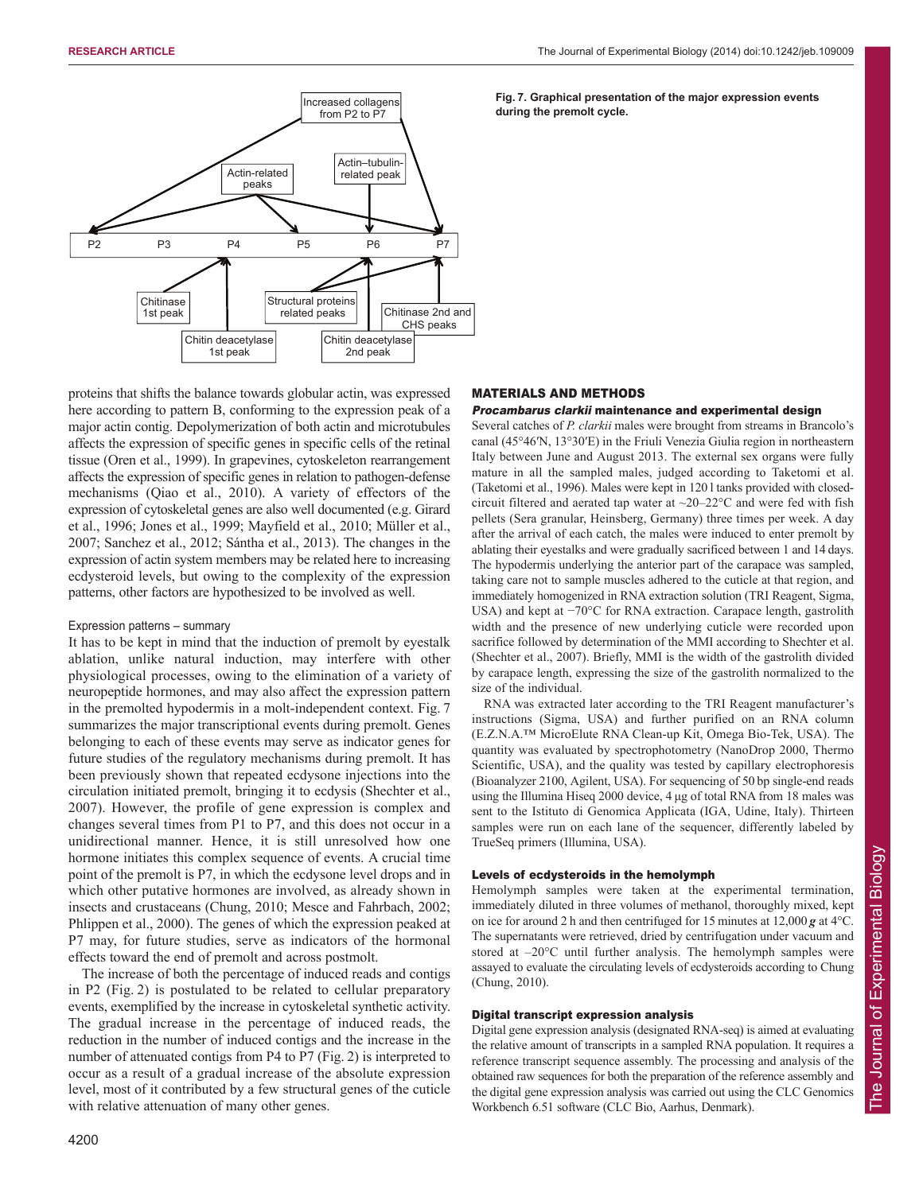

proteins that shifts the balance towards globular actin, was expressed here according to pattern B, conforming to the expression peak of a major actin contig. Depolymerization of both actin and microtubules affects the expression of specific genes in specific cells of the retinal tissue (Oren et al., 1999). In grapevines, cytoskeleton rearrangement affects the expression of specific genes in relation to pathogen-defense mechanisms (Qiao et al., 2010). A variety of effectors of the expression of cytoskeletal genes are also well documented (e.g. Girard et al., 1996; Jones et al., 1999; Mayfield et al., 2010; Müller et al., 2007; Sanchez et al., 2012; Sántha et al., 2013). The changes in the expression of actin system members may be related here to increasing ecdysteroid levels, but owing to the complexity of the expression patterns, other factors are hypothesized to be involved as well.

## Expression patterns – summary

It has to be kept in mind that the induction of premolt by eyestalk ablation, unlike natural induction, may interfere with other physiological processes, owing to the elimination of a variety of neuropeptide hormones, and may also affect the expression pattern in the premolted hypodermis in a molt-independent context. Fig. 7 summarizes the major transcriptional events during premolt. Genes belonging to each of these events may serve as indicator genes for future studies of the regulatory mechanisms during premolt. It has been previously shown that repeated ecdysone injections into the circulation initiated premolt, bringing it to ecdysis (Shechter et al., 2007). However, the profile of gene expression is complex and changes several times from P1 to P7, and this does not occur in a unidirectional manner. Hence, it is still unresolved how one hormone initiates this complex sequence of events. A crucial time point of the premolt is P7, in which the ecdysone level drops and in which other putative hormones are involved, as already shown in insects and crustaceans (Chung, 2010; Mesce and Fahrbach, 2002; Phlippen et al., 2000). The genes of which the expression peaked at P7 may, for future studies, serve as indicators of the hormonal effects toward the end of premolt and across postmolt.

The increase of both the percentage of induced reads and contigs in P2 (Fig. 2) is postulated to be related to cellular preparatory events, exemplified by the increase in cytoskeletal synthetic activity. The gradual increase in the percentage of induced reads, the reduction in the number of induced contigs and the increase in the number of attenuated contigs from P4 to P7 (Fig. 2) is interpreted to occur as a result of a gradual increase of the absolute expression level, most of it contributed by a few structural genes of the cuticle with relative attenuation of many other genes.

**Fig. 7. Graphical presentation of the major expression events during the premolt cycle.**

# MATERIALS AND METHODS

## Procambarus clarkii maintenance and experimental design

Several catches of *P. clarkii* males were brought from streams in Brancolo's canal (45°46ʹN, 13°30ʹE) in the Friuli Venezia Giulia region in northeastern Italy between June and August 2013. The external sex organs were fully mature in all the sampled males, judged according to Taketomi et al. (Taketomi et al., 1996). Males were kept in 120 l tanks provided with closedcircuit filtered and aerated tap water at  $\sim$ 20–22 $\degree$ C and were fed with fish pellets (Sera granular, Heinsberg, Germany) three times per week. A day after the arrival of each catch, the males were induced to enter premolt by ablating their eyestalks and were gradually sacrificed between 1 and 14 days. The hypodermis underlying the anterior part of the carapace was sampled, taking care not to sample muscles adhered to the cuticle at that region, and immediately homogenized in RNA extraction solution (TRI Reagent, Sigma, USA) and kept at −70°C for RNA extraction. Carapace length, gastrolith width and the presence of new underlying cuticle were recorded upon sacrifice followed by determination of the MMI according to Shechter et al. (Shechter et al., 2007). Briefly, MMI is the width of the gastrolith divided by carapace length, expressing the size of the gastrolith normalized to the size of the individual.

RNA was extracted later according to the TRI Reagent manufacturer's instructions (Sigma, USA) and further purified on an RNA column (E.Z.N.A.™ MicroElute RNA Clean-up Kit, Omega Bio-Tek, USA). The quantity was evaluated by spectrophotometry (NanoDrop 2000, Thermo Scientific, USA), and the quality was tested by capillary electrophoresis (Bioanalyzer 2100, Agilent, USA). For sequencing of 50 bp single-end reads using the Illumina Hiseq 2000 device, 4 μg of total RNA from 18 males was sent to the Istituto di Genomica Applicata (IGA, Udine, Italy). Thirteen samples were run on each lane of the sequencer, differently labeled by TrueSeq primers (Illumina, USA).

# Levels of ecdysteroids in the hemolymph

Hemolymph samples were taken at the experimental termination, immediately diluted in three volumes of methanol, thoroughly mixed, kept on ice for around 2 h and then centrifuged for 15 minutes at 12,000 *g* at 4°C. The supernatants were retrieved, dried by centrifugation under vacuum and stored at –20°C until further analysis. The hemolymph samples were assayed to evaluate the circulating levels of ecdysteroids according to Chung (Chung, 2010).

# Digital transcript expression analysis

Digital gene expression analysis (designated RNA-seq) is aimed at evaluating the relative amount of transcripts in a sampled RNA population. It requires a reference transcript sequence assembly. The processing and analysis of the obtained raw sequences for both the preparation of the reference assembly and the digital gene expression analysis was carried out using the CLC Genomics Workbench 6.51 software (CLC Bio, Aarhus, Denmark).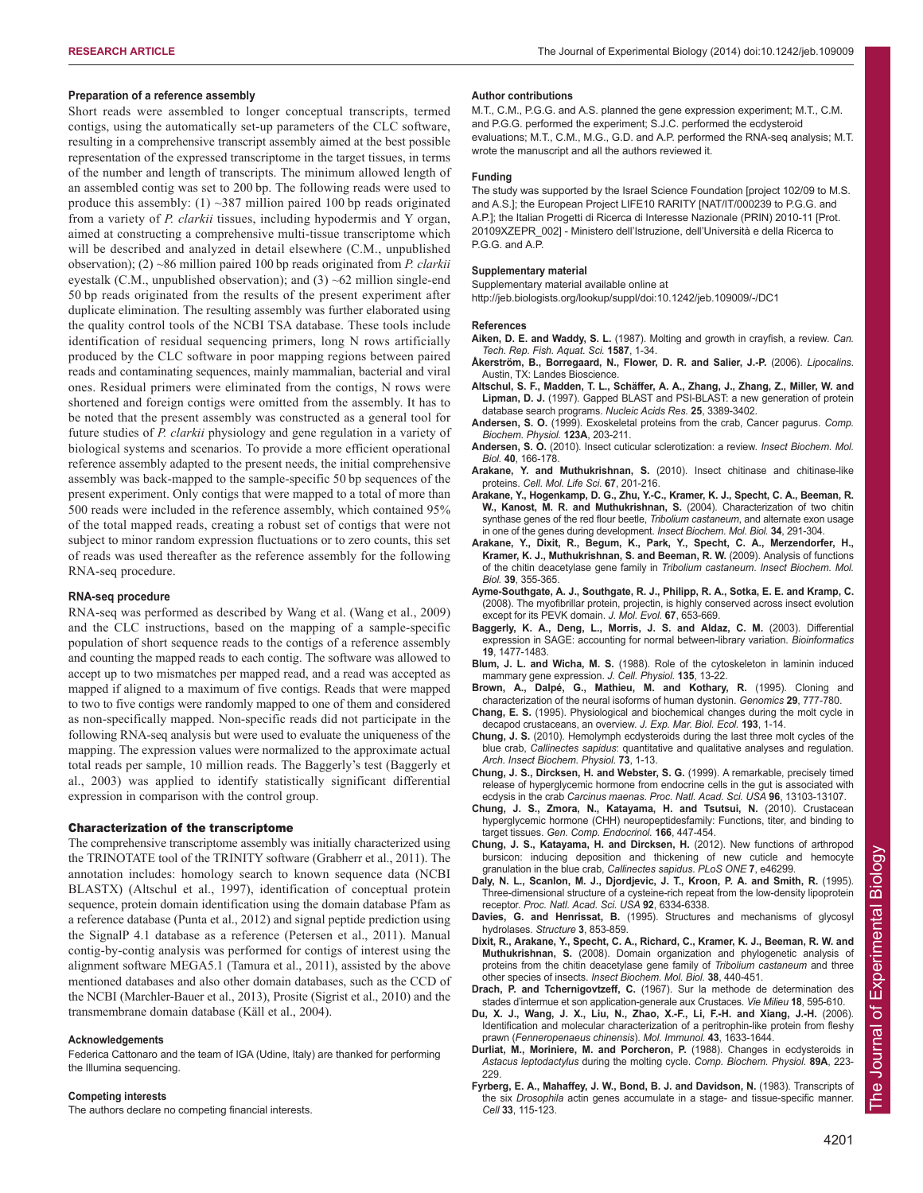## **Preparation of a reference assembly**

Short reads were assembled to longer conceptual transcripts, termed contigs, using the automatically set-up parameters of the CLC software, resulting in a comprehensive transcript assembly aimed at the best possible representation of the expressed transcriptome in the target tissues, in terms of the number and length of transcripts. The minimum allowed length of an assembled contig was set to 200 bp. The following reads were used to produce this assembly: (1)  $\sim$ 387 million paired 100 bp reads originated from a variety of *P. clarkii* tissues, including hypodermis and Y organ, aimed at constructing a comprehensive multi-tissue transcriptome which will be described and analyzed in detail elsewhere (C.M., unpublished observation); (2) ~86 million paired 100 bp reads originated from *P. clarkii* eyestalk (C.M., unpublished observation); and (3) ~62 million single-end 50 bp reads originated from the results of the present experiment after duplicate elimination. The resulting assembly was further elaborated using the quality control tools of the NCBI TSA database. These tools include identification of residual sequencing primers, long N rows artificially produced by the CLC software in poor mapping regions between paired reads and contaminating sequences, mainly mammalian, bacterial and viral ones. Residual primers were eliminated from the contigs, N rows were shortened and foreign contigs were omitted from the assembly. It has to be noted that the present assembly was constructed as a general tool for future studies of *P. clarkii* physiology and gene regulation in a variety of biological systems and scenarios. To provide a more efficient operational reference assembly adapted to the present needs, the initial comprehensive assembly was back-mapped to the sample-specific 50 bp sequences of the present experiment. Only contigs that were mapped to a total of more than 500 reads were included in the reference assembly, which contained 95% of the total mapped reads, creating a robust set of contigs that were not subject to minor random expression fluctuations or to zero counts, this set of reads was used thereafter as the reference assembly for the following RNA-seq procedure.

#### **RNA-seq procedure**

RNA-seq was performed as described by Wang et al. (Wang et al., 2009) and the CLC instructions, based on the mapping of a sample-specific population of short sequence reads to the contigs of a reference assembly and counting the mapped reads to each contig. The software was allowed to accept up to two mismatches per mapped read, and a read was accepted as mapped if aligned to a maximum of five contigs. Reads that were mapped to two to five contigs were randomly mapped to one of them and considered as non-specifically mapped. Non-specific reads did not participate in the following RNA-seq analysis but were used to evaluate the uniqueness of the mapping. The expression values were normalized to the approximate actual total reads per sample, 10 million reads. The Baggerly's test (Baggerly et al., 2003) was applied to identify statistically significant differential expression in comparison with the control group.

## Characterization of the transcriptome

The comprehensive transcriptome assembly was initially characterized using the TRINOTATE tool of the TRINITY software (Grabherr et al., 2011). The annotation includes: homology search to known sequence data (NCBI BLASTX) (Altschul et al., 1997), identification of conceptual protein sequence, protein domain identification using the domain database Pfam as a reference database (Punta et al., 2012) and signal peptide prediction using the SignalP 4.1 database as a reference (Petersen et al., 2011). Manual contig-by-contig analysis was performed for contigs of interest using the alignment software MEGA5.1 (Tamura et al., 2011), assisted by the above mentioned databases and also other domain databases, such as the CCD of the NCBI (Marchler-Bauer et al., 2013), Prosite (Sigrist et al., 2010) and the transmembrane domain database (Käll et al., 2004).

#### **Acknowledgements**

Federica Cattonaro and the team of IGA (Udine, Italy) are thanked for performing the Illumina sequencing.

#### **Competing interests**

The authors declare no competing financial interests.

#### **Author contributions**

M.T., C.M., P.G.G. and A.S. planned the gene expression experiment; M.T., C.M. and P.G.G. performed the experiment; S.J.C. performed the ecdysteroid evaluations; M.T., C.M., M.G., G.D. and A.P. performed the RNA-seq analysis; M.T. wrote the manuscript and all the authors reviewed it.

#### **Funding**

The study was supported by the Israel Science Foundation [project 102/09 to M.S. and A.S.]; the European Project LIFE10 RARITY [NAT/IT/000239 to P.G.G. and A.P.]; the Italian Progetti di Ricerca di Interesse Nazionale (PRIN) 2010-11 [Prot. 20109XZEPR\_002] - Ministero dell'Istruzione, dell'Università e della Ricerca to P.G.G. and A.P.

# **Supplementary material**

Supplementary material available online at

http://jeb.biologists.org/lookup/suppl/doi:10.1242/jeb.109009/-/DC1

#### **References**

- **Aiken, D. E. and Waddy, S. L.** (1987). Molting and growth in crayfish, a review. *Can. Tech. Rep. Fish. Aquat. Sci.* **1587**, 1-34.
- **Åkerström, B., Borregaard, N., Flower, D. R. and Salier, J.-P.** (2006). *Lipocalins*. Austin, TX: Landes Bioscience.
- **Altschul, S. F., Madden, T. L., Schäffer, A. A., Zhang, J., Zhang, Z., Miller, W. and Lipman, D. J.** (1997). Gapped BLAST and PSI-BLAST: a new generation of protein database search programs. *Nucleic Acids Res.* **25**, 3389-3402.
- **Andersen, S. O.** (1999). Exoskeletal proteins from the crab, Cancer pagurus. *Comp. Biochem. Physiol.* **123A**, 203-211.
- **Andersen, S. O.** (2010). Insect cuticular sclerotization: a review. *Insect Biochem. Mol. Biol.* **40**, 166-178.
- **Arakane, Y. and Muthukrishnan, S.** (2010). Insect chitinase and chitinase-like proteins. *Cell. Mol. Life Sci.* **67**, 201-216.
- **Arakane, Y., Hogenkamp, D. G., Zhu, Y.-C., Kramer, K. J., Specht, C. A., Beeman, R. W., Kanost, M. R. and Muthukrishnan, S.** (2004). Characterization of two chitin synthase genes of the red flour beetle, *Tribolium castaneum*, and alternate exon usage in one of the genes during development. *Insect Biochem. Mol. Biol.* **34**, 291-304.
- **Arakane, Y., Dixit, R., Begum, K., Park, Y., Specht, C. A., Merzendorfer, H., Kramer, K. J., Muthukrishnan, S. and Beeman, R. W.** (2009). Analysis of functions of the chitin deacetylase gene family in *Tribolium castaneum*. *Insect Biochem. Mol. Biol.* **39**, 355-365.
- **Ayme-Southgate, A. J., Southgate, R. J., Philipp, R. A., Sotka, E. E. and Kramp, C.** (2008). The myofibrillar protein, projectin, is highly conserved across insect evolution except for its PEVK domain. *J. Mol. Evol.* **67**, 653-669.
- **Baggerly, K. A., Deng, L., Morris, J. S. and Aldaz, C. M.** (2003). Differential expression in SAGE: accounting for normal between-library variation. *Bioinformatics* **19**, 1477-1483.
- **Blum, J. L. and Wicha, M. S.** (1988). Role of the cytoskeleton in laminin induced mammary gene expression. *J. Cell. Physiol.* **135**, 13-22.
- **Brown, A., Dalpé, G., Mathieu, M. and Kothary, R.** (1995). Cloning and characterization of the neural isoforms of human dystonin. *Genomics* **29**, 777-780.
- **Chang, E. S.** (1995). Physiological and biochemical changes during the molt cycle in decapod crustaceans, an overview. *J. Exp. Mar. Biol. Ecol.* **193**, 1-14.
- **Chung, J. S.** (2010). Hemolymph ecdysteroids during the last three molt cycles of the blue crab, *Callinectes sapidus*: quantitative and qualitative analyses and regulation. *Arch. Insect Biochem. Physiol.* **73**, 1-13.
- **Chung, J. S., Dircksen, H. and Webster, S. G.** (1999). A remarkable, precisely timed release of hyperglycemic hormone from endocrine cells in the gut is associated with ecdysis in the crab *Carcinus maenas*. *Proc. Natl. Acad. Sci. USA* **96**, 13103-13107.
- **Chung, J. S., Zmora, N., Katayama, H. and Tsutsui, N.** (2010). Crustacean hyperglycemic hormone (CHH) neuropeptidesfamily: Functions, titer, and binding to target tissues. *Gen. Comp. Endocrinol.* **166**, 447-454.
- **Chung, J. S., Katayama, H. and Dircksen, H.** (2012). New functions of arthropod bursicon: inducing deposition and thickening of new cuticle and hemocyte granulation in the blue crab, *Callinectes sapidus*. *PLoS ONE* **7**, e46299.
- **Daly, N. L., Scanlon, M. J., Djordjevic, J. T., Kroon, P. A. and Smith, R.** (1995). Three-dimensional structure of a cysteine-rich repeat from the low-density lipoprotein receptor. *Proc. Natl. Acad. Sci. USA* **92**, 6334-6338.
- **Davies, G. and Henrissat, B.** (1995). Structures and mechanisms of glycosyl hydrolases. *Structure* **3**, 853-859.
- **Dixit, R., Arakane, Y., Specht, C. A., Richard, C., Kramer, K. J., Beeman, R. W. and Muthukrishnan, S.** (2008). Domain organization and phylogenetic analysis of proteins from the chitin deacetylase gene family of *Tribolium castaneum* and three other species of insects. *Insect Biochem. Mol. Biol.* **38**, 440-451.
- **Drach, P. and Tchernigovtzeff, C.** (1967). Sur la methode de determination des stades d'intermue et son application-generale aux Crustaces. *Vie Milieu* **18**, 595-610.
- **Du, X. J., Wang, J. X., Liu, N., Zhao, X.-F., Li, F.-H. and Xiang, J.-H.** (2006). Identification and molecular characterization of a peritrophin-like protein from fleshy prawn (*Fenneropenaeus chinensis*). *Mol. Immunol.* **43**, 1633-1644.
- **Durliat, M., Moriniere, M. and Porcheron, P.** (1988). Changes in ecdysteroids in *Astacus leptodactylus* during the molting cycle. *Comp. Biochem. Physiol.* **89A**, 223- 229.
- **Fyrberg, E. A., Mahaffey, J. W., Bond, B. J. and Davidson, N.** (1983). Transcripts of the six *Drosophila* actin genes accumulate in a stage- and tissue-specific manner. *Cell* **33**, 115-123.